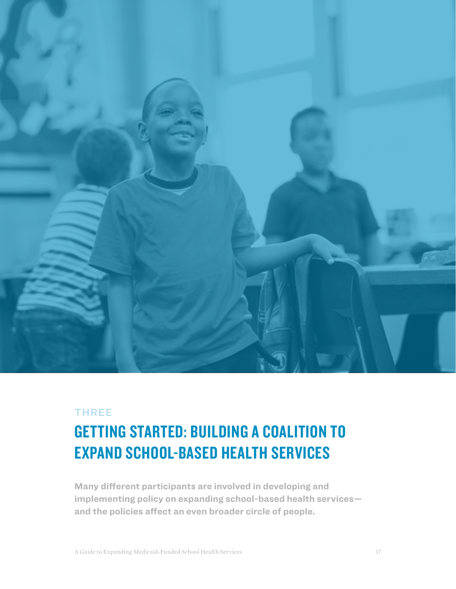

# THREE

# GETTING STARTED: BUILDING A COALITION TO EXPAND SCHOOL-BASED HEALTH SERVICES

**Many different participants are involved in developing and implementing policy on expanding school-based health services and the policies affect an even broader circle of people.**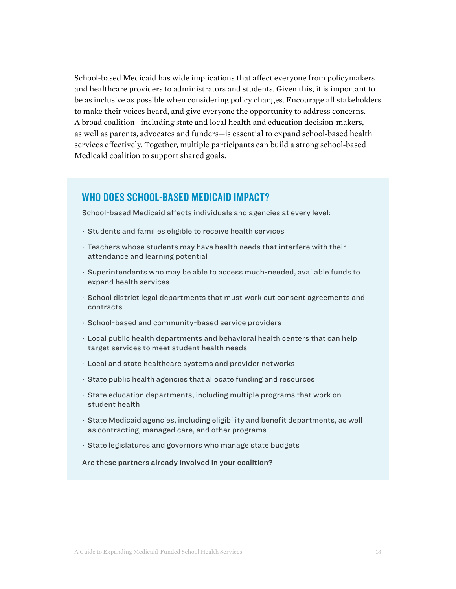School-based Medicaid has wide implications that affect everyone from policymakers and healthcare providers to administrators and students. Given this, it is important to be as inclusive as possible when considering policy changes. Encourage all stakeholders to make their voices heard, and give everyone the opportunity to address concerns. A broad coalition—including state and local health and education decision-makers, as well as parents, advocates and funders—is essential to expand school-based health services effectively. Together, multiple participants can build a strong school-based Medicaid coalition to support shared goals.

# WHO DOES SCHOOL-BASED MEDICAID IMPACT?

School-based Medicaid affects individuals and agencies at every level:

- · Students and families eligible to receive health services
- · Teachers whose students may have health needs that interfere with their attendance and learning potential
- · Superintendents who may be able to access much-needed, available funds to expand health services
- · School district legal departments that must work out consent agreements and contracts
- · School-based and community-based service providers
- · Local public health departments and behavioral health centers that can help target services to meet student health needs
- · Local and state healthcare systems and provider networks
- · State public health agencies that allocate funding and resources
- · State education departments, including multiple programs that work on student health
- · State Medicaid agencies, including eligibility and benefit departments, as well as contracting, managed care, and other programs
- · State legislatures and governors who manage state budgets

Are these partners already involved in your coalition?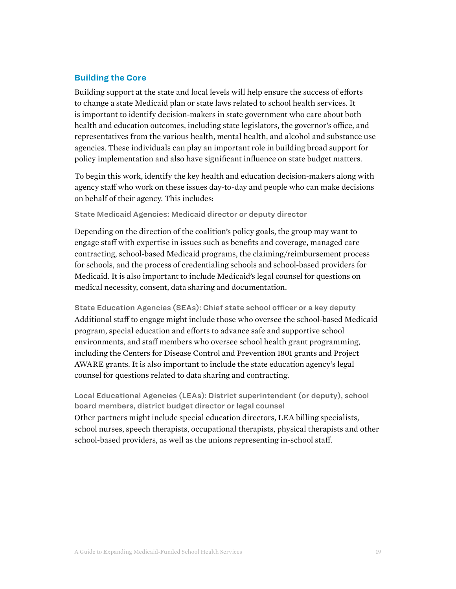## **Building the Core**

Building support at the state and local levels will help ensure the success of efforts to change a state Medicaid plan or state laws related to school health services. It is important to identify decision-makers in state government who care about both health and education outcomes, including state legislators, the governor's office, and representatives from the various health, mental health, and alcohol and substance use agencies. These individuals can play an important role in building broad support for policy implementation and also have significant influence on state budget matters.

To begin this work, identify the key health and education decision-makers along with agency staff who work on these issues day-to-day and people who can make decisions on behalf of their agency. This includes:

State Medicaid Agencies: Medicaid director or deputy director

Depending on the direction of the coalition's policy goals, the group may want to engage staff with expertise in issues such as benefits and coverage, managed care contracting, school-based Medicaid programs, the claiming/reimbursement process for schools, and the process of credentialing schools and school-based providers for Medicaid. It is also important to include Medicaid's legal counsel for questions on medical necessity, consent, data sharing and documentation.

State Education Agencies (SEAs): Chief state school officer or a key deputy Additional staff to engage might include those who oversee the school-based Medicaid program, special education and efforts to advance safe and supportive school environments, and staff members who oversee school health grant programming, including the Centers for Disease Control and Prevention 1801 grants and Project AWARE grants. It is also important to include the state education agency's legal counsel for questions related to data sharing and contracting.

Local Educational Agencies (LEAs): District superintendent (or deputy), school board members, district budget director or legal counsel Other partners might include special education directors, LEA billing specialists, school nurses, speech therapists, occupational therapists, physical therapists and other school-based providers, as well as the unions representing in-school staff.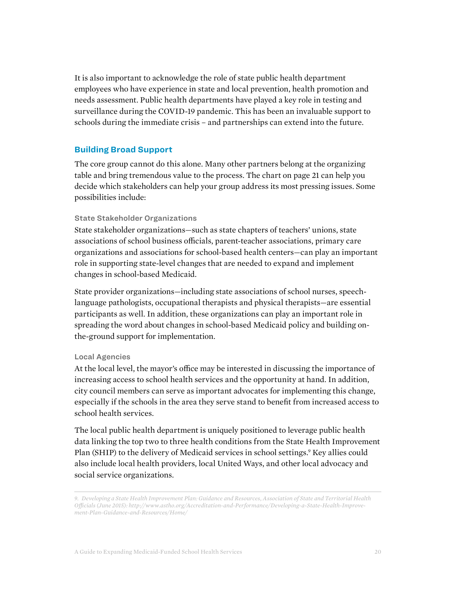It is also important to acknowledge the role of state public health department employees who have experience in state and local prevention, health promotion and needs assessment. Public health departments have played a key role in testing and surveillance during the COVID-19 pandemic. This has been an invaluable support to schools during the immediate crisis – and partnerships can extend into the future.

## **Building Broad Support**

The core group cannot do this alone. Many other partners belong at the organizing table and bring tremendous value to the process. The chart on page 21 can help you decide which stakeholders can help your group address its most pressing issues. Some possibilities include:

#### State Stakeholder Organizations

State stakeholder organizations—such as state chapters of teachers' unions, state associations of school business officials, parent-teacher associations, primary care organizations and associations for school-based health centers—can play an important role in supporting state-level changes that are needed to expand and implement changes in school-based Medicaid.

State provider organizations—including state associations of school nurses, speechlanguage pathologists, occupational therapists and physical therapists—are essential participants as well. In addition, these organizations can play an important role in spreading the word about changes in school-based Medicaid policy and building onthe-ground support for implementation.

#### Local Agencies

At the local level, the mayor's office may be interested in discussing the importance of increasing access to school health services and the opportunity at hand. In addition, city council members can serve as important advocates for implementing this change, especially if the schools in the area they serve stand to benefit from increased access to school health services.

The local public health department is uniquely positioned to leverage public health data linking the top two to three health conditions from the State Health Improvement Plan (SHIP) to the delivery of Medicaid services in school settings.<sup>9</sup> Key allies could also include local health providers, local United Ways, and other local advocacy and social service organizations.

*<sup>9.</sup> Developing a State Health Improvement Plan: Guidance and Resources, Association of State and Territorial Health Officials (June 2015): http://www.astho.org/Accreditation-and-Performance/Developing-a-State-Health-Improvement-Plan-Guidance-and-Resources/Home/*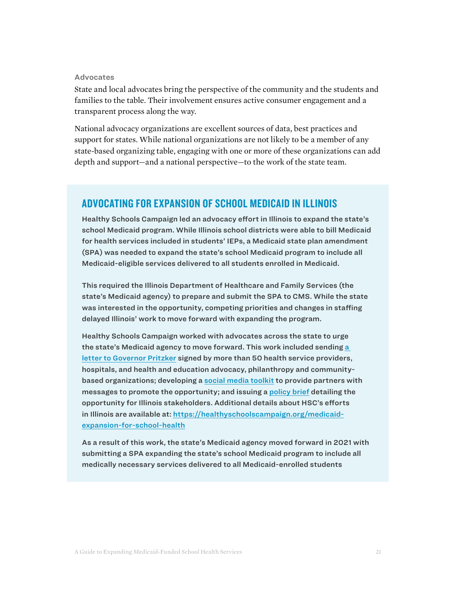#### Advocates

State and local advocates bring the perspective of the community and the students and families to the table. Their involvement ensures active consumer engagement and a transparent process along the way.

National advocacy organizations are excellent sources of data, best practices and support for states. While national organizations are not likely to be a member of any state-based organizing table, engaging with one or more of these organizations can add depth and support—and a national perspective—to the work of the state team.

# ADVOCATING FOR EXPANSION OF SCHOOL MEDICAID IN ILLINOIS

Healthy Schools Campaign led an advocacy effort in Illinois to expand the state's school Medicaid program. While Illinois school districts were able to bill Medicaid for health services included in students' IEPs, a Medicaid state plan amendment (SPA) was needed to expand the state's school Medicaid program to include all Medicaid-eligible services delivered to all students enrolled in Medicaid.

This required the Illinois Department of Healthcare and Family Services (the state's Medicaid agency) to prepare and submit the SPA to CMS. While the state was interested in the opportunity, competing priorities and changes in staffing delayed Illinois' work to move forward with expanding the program.

Healthy Schools Campaign worked with advocates across the state to urge the state's Medicaid agency to move forward. This work included sending [a](http://bit.ly/pritzker-expand-school-health-services)  [letter to Governor Pritzker](http://bit.ly/pritzker-expand-school-health-services) signed by more than 50 health service providers, hospitals, and health and education advocacy, philanthropy and communitybased organizations; developing a [social media toolkit](https://docs.google.com/document/d/1PyBDwTaW73_BvxDDKIQ8QNUGInROa4CFBXkA3BvXWeg/edit#) to provide partners with messages to promote the opportunity; and issuing a [policy brief](https://healthyschoolscampaign.org/resources/single/how-illinois-can-leverage-medicaid-funds-to-expand-school-health-services/) detailing the opportunity for Illinois stakeholders. Additional details about HSC's efforts in Illinois are available at: [https://healthyschoolscampaign.org/medicaid](https://healthyschoolscampaign.org/medicaid-expansion-for-school-health)[expansion-for-school-health](https://healthyschoolscampaign.org/medicaid-expansion-for-school-health)

As a result of this work, the state's Medicaid agency moved forward in 2021 with submitting a SPA expanding the state's school Medicaid program to include all medically necessary services delivered to all Medicaid-enrolled students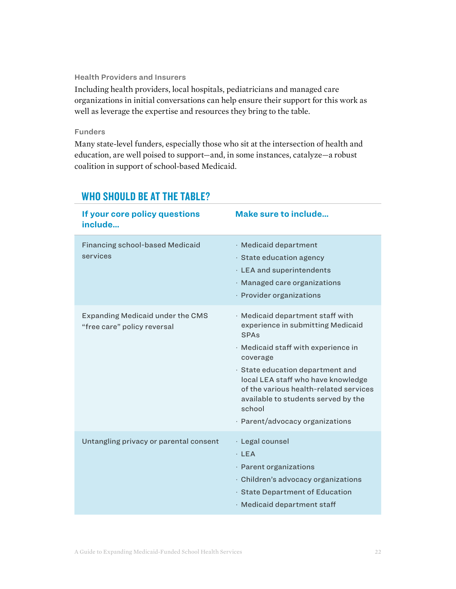#### Health Providers and Insurers

Including health providers, local hospitals, pediatricians and managed care organizations in initial conversations can help ensure their support for this work as well as leverage the expertise and resources they bring to the table.

#### Funders

Many state-level funders, especially those who sit at the intersection of health and education, are well poised to support—and, in some instances, catalyze—a robust coalition in support of school-based Medicaid.

| If your core policy questions<br>include                               | <b>Make sure to include</b>                                                                                                                                                                                                                                                                                                              |
|------------------------------------------------------------------------|------------------------------------------------------------------------------------------------------------------------------------------------------------------------------------------------------------------------------------------------------------------------------------------------------------------------------------------|
| <b>Financing school-based Medicaid</b><br>services                     | · Medicaid department<br>$\cdot$ State education agency<br>· LEA and superintendents<br>· Managed care organizations<br>· Provider organizations                                                                                                                                                                                         |
| <b>Expanding Medicaid under the CMS</b><br>"free care" policy reversal | · Medicaid department staff with<br>experience in submitting Medicaid<br>SPAs<br>· Medicaid staff with experience in<br>coverage<br>· State education department and<br>local LEA staff who have knowledge<br>of the various health-related services<br>available to students served by the<br>school<br>· Parent/advocacy organizations |
| Untangling privacy or parental consent                                 | · Legal counsel<br>$·$ LEA<br>· Parent organizations<br>· Children's advocacy organizations<br>· State Department of Education<br>· Medicaid department staff                                                                                                                                                                            |

# WHO SHOULD BE AT THE TABLE?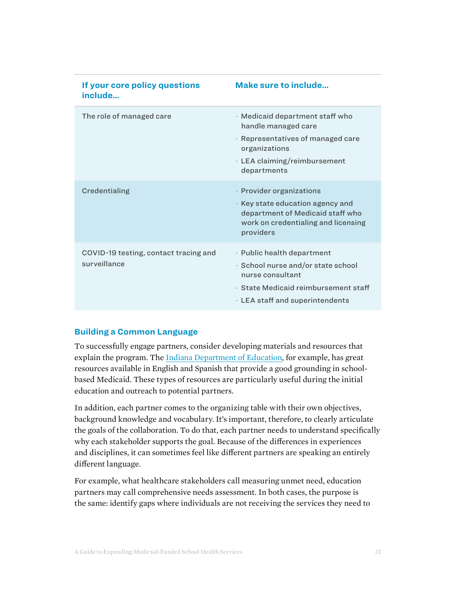| If your core policy questions<br>include              | Make sure to include                                                                                                                                                        |
|-------------------------------------------------------|-----------------------------------------------------------------------------------------------------------------------------------------------------------------------------|
| The role of managed care                              | · Medicaid department staff who<br>handle managed care<br>$\cdot$ Representatives of managed care<br>organizations<br>· LEA claiming/reimbursement<br>departments           |
| Credentialing                                         | · Provider organizations<br>$\cdot$ Key state education agency and<br>department of Medicaid staff who<br>work on credentialing and licensing<br>providers                  |
| COVID-19 testing, contact tracing and<br>surveillance | $\cdot$ Public health department<br>· School nurse and/or state school<br>nurse consultant<br>· State Medicaid reimbursement staff<br>$\cdot$ LEA staff and superintendents |

## **Building a Common Language**

To successfully engage partners, consider developing materials and resources that explain the program. The [Indiana Department of Education,](https://www.in.gov/doe/students/special-education/school-medicaid-claiming/) for example, has great resources available in English and Spanish that provide a good grounding in schoolbased Medicaid. These types of resources are particularly useful during the initial education and outreach to potential partners.

In addition, each partner comes to the organizing table with their own objectives, background knowledge and vocabulary. It's important, therefore, to clearly articulate the goals of the collaboration. To do that, each partner needs to understand specifically why each stakeholder supports the goal. Because of the differences in experiences and disciplines, it can sometimes feel like different partners are speaking an entirely different language.

For example, what healthcare stakeholders call measuring unmet need, education partners may call comprehensive needs assessment. In both cases, the purpose is the same: identify gaps where individuals are not receiving the services they need to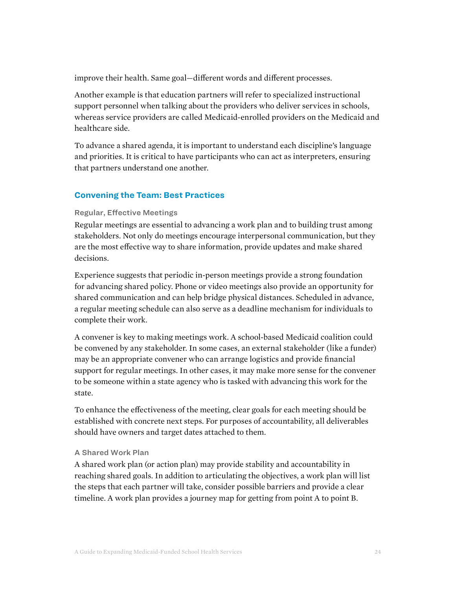improve their health. Same goal—different words and different processes.

Another example is that education partners will refer to specialized instructional support personnel when talking about the providers who deliver services in schools, whereas service providers are called Medicaid-enrolled providers on the Medicaid and healthcare side.

To advance a shared agenda, it is important to understand each discipline's language and priorities. It is critical to have participants who can act as interpreters, ensuring that partners understand one another.

## **Convening the Team: Best Practices**

#### Regular, Effective Meetings

Regular meetings are essential to advancing a work plan and to building trust among stakeholders. Not only do meetings encourage interpersonal communication, but they are the most effective way to share information, provide updates and make shared decisions.

Experience suggests that periodic in-person meetings provide a strong foundation for advancing shared policy. Phone or video meetings also provide an opportunity for shared communication and can help bridge physical distances. Scheduled in advance, a regular meeting schedule can also serve as a deadline mechanism for individuals to complete their work.

A convener is key to making meetings work. A school-based Medicaid coalition could be convened by any stakeholder. In some cases, an external stakeholder (like a funder) may be an appropriate convener who can arrange logistics and provide financial support for regular meetings. In other cases, it may make more sense for the convener to be someone within a state agency who is tasked with advancing this work for the state.

To enhance the effectiveness of the meeting, clear goals for each meeting should be established with concrete next steps. For purposes of accountability, all deliverables should have owners and target dates attached to them.

### A Shared Work Plan

A shared work plan (or action plan) may provide stability and accountability in reaching shared goals. In addition to articulating the objectives, a work plan will list the steps that each partner will take, consider possible barriers and provide a clear timeline. A work plan provides a journey map for getting from point A to point B.